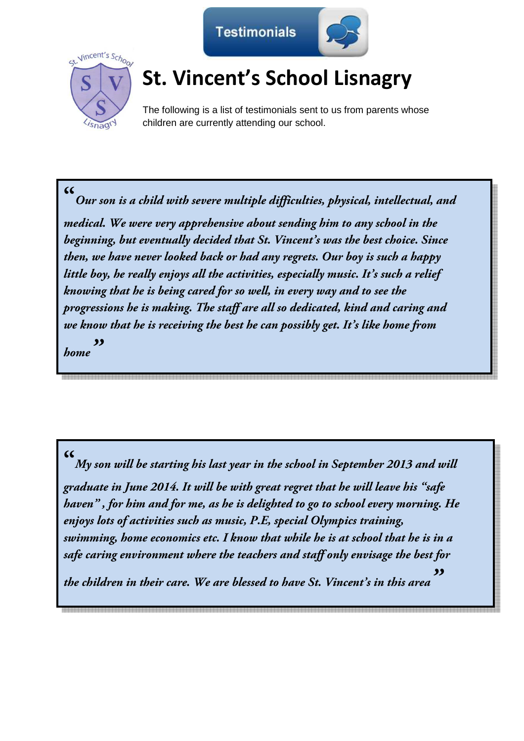



## **St. Vincent's School Lisnagry**

The following is a list of testimonials sent to us from parents whose children are currently attending our school.

**"** *Our son is a child with severe multiple difficulties, physical, intellectual, and medical. We were very apprehensive about sending him to any school in the beginning, but eventually decided that St. Vincent's was the best choice. Since then, we have never looked back or had any regrets. Our boy is such a happy little boy, he really enjoys all the activities, especially music. It's such a relief knowing that he is being cared for so well, in every way and to see the progressions he is making. The staff are all so dedicated, kind and caring and we know that he is receiving the best he can possibly get. It's like home from home"* 

**"**

*My son will be starting his last year in the school in September 2013 and will graduate in June 2014. It will be with great regret that he will leave his "safe haven" , for him and for me, as he is delighted to go to school every morning. He enjoys lots of activities such as music, P.E, special Olympics training, swimming, home economics etc. I know that while he is at school that he is in a safe caring environment where the teachers and staff only envisage the best for* 

*the children in their care. We are blessed to have St. Vincent's in this area "*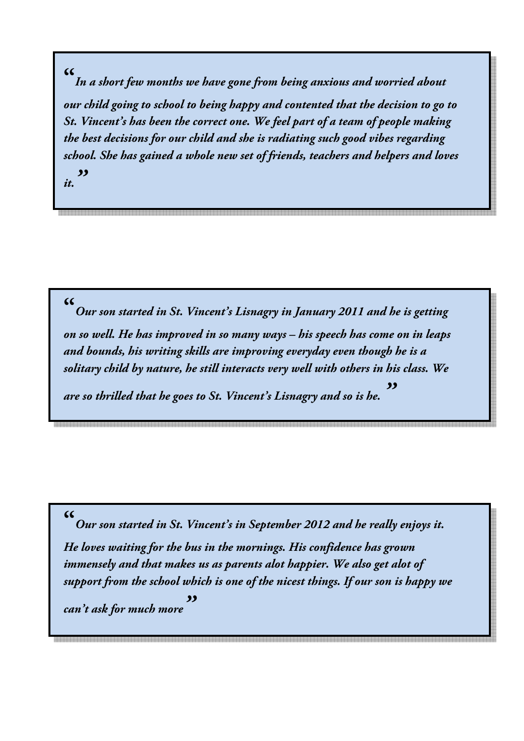*In a short few months we have gone from being anxious and worried about our child going to school to being happy and contented that the decision to go to St. Vincent's has been the correct one. We feel part of a team of people making the best decisions for our child and she is radiating such good vibes regarding school. She has gained a whole new set of friends, teachers and helpers and loves* 

*it."* 

**"**

**"**

*Our son started in St. Vincent's Lisnagry in January 2011 and he is getting on so well. He has improved in so many ways – his speech has come on in leaps and bounds, his writing skills are improving everyday even though he is a solitary child by nature, he still interacts very well with others in his class. We* 

*are so thrilled that he goes to St. Vincent's Lisnagry and so is he. "* 

*Our son started in St. Vincent's in September 2012 and he really enjoys it. He loves waiting for the bus in the mornings. His confidence has grown immensely and that makes us as parents alot happier. We also get alot of support from the school which is one of the nicest things. If our son is happy we* 

 $c$ *an't ask for much more* 

## **"**